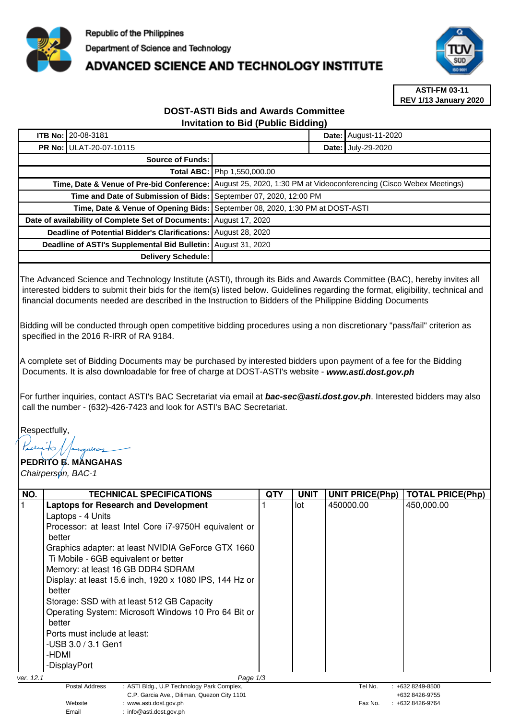

## **ADVANCED SCIENCE AND TECHNOLOGY INSTITUTE**



**ASTI-FM 03-11 REV 1/13 January 2020**

## **DOST-ASTI Bids and Awards Committee Invitation to Bid (Public Bidding)**

|                                                                    | <b>ITB No: 20-08-3181</b>                                         |                                                                                                                |  | <b>Date: August-11-2020</b> |
|--------------------------------------------------------------------|-------------------------------------------------------------------|----------------------------------------------------------------------------------------------------------------|--|-----------------------------|
|                                                                    | <b>PR No: ULAT-20-07-10115</b>                                    |                                                                                                                |  | Date: July-29-2020          |
| Source of Funds:                                                   |                                                                   |                                                                                                                |  |                             |
|                                                                    |                                                                   | Total ABC: Php 1,550,000.00                                                                                    |  |                             |
|                                                                    |                                                                   | Time, Date & Venue of Pre-bid Conference: August 25, 2020, 1:30 PM at Videoconferencing (Cisco Webex Meetings) |  |                             |
|                                                                    | Time and Date of Submission of Bids: September 07, 2020, 12:00 PM |                                                                                                                |  |                             |
|                                                                    |                                                                   | Time, Date & Venue of Opening Bids: September 08, 2020, 1:30 PM at DOST-ASTI                                   |  |                             |
| Date of availability of Complete Set of Documents: August 17, 2020 |                                                                   |                                                                                                                |  |                             |
| Deadline of Potential Bidder's Clarifications: August 28, 2020     |                                                                   |                                                                                                                |  |                             |
| Deadline of ASTI's Supplemental Bid Bulletin: August 31, 2020      |                                                                   |                                                                                                                |  |                             |
| Delivery Schedule:                                                 |                                                                   |                                                                                                                |  |                             |

The Advanced Science and Technology Institute (ASTI), through its Bids and Awards Committee (BAC), hereby invites all interested bidders to submit their bids for the item(s) listed below. Guidelines regarding the format, eligibility, technical and financial documents needed are described in the Instruction to Bidders of the Philippine Bidding Documents

Bidding will be conducted through open competitive bidding procedures using a non discretionary "pass/fail" criterion as specified in the 2016 R-IRR of RA 9184.

A complete set of Bidding Documents may be purchased by interested bidders upon payment of a fee for the Bidding Documents. It is also downloadable for free of charge at DOST-ASTI's website - **www.asti.dost.gov.ph**

For further inquiries, contact ASTI's BAC Secretariat via email at **bac-sec@asti.dost.gov.ph**. Interested bidders may also call the number - (632)-426-7423 and look for ASTI's BAC Secretariat.

Respectfully,

## **PEDRITO B. MANGAHAS**  Chairperson, BAC-1

| NO.       | <b>TECHNICAL SPECIFICATIONS</b>                                     | <b>QTY</b> | <b>UNIT</b> | <b>UNIT PRICE(Php)</b> | <b>TOTAL PRICE(Php)</b> |  |  |
|-----------|---------------------------------------------------------------------|------------|-------------|------------------------|-------------------------|--|--|
|           | <b>Laptops for Research and Development</b>                         |            | lot         | 450000.00              | 450,000.00              |  |  |
|           | Laptops - 4 Units                                                   |            |             |                        |                         |  |  |
|           | Processor: at least Intel Core i7-9750H equivalent or               |            |             |                        |                         |  |  |
|           | better                                                              |            |             |                        |                         |  |  |
|           | Graphics adapter: at least NVIDIA GeForce GTX 1660                  |            |             |                        |                         |  |  |
|           | Ti Mobile - 6GB equivalent or better                                |            |             |                        |                         |  |  |
|           | Memory: at least 16 GB DDR4 SDRAM                                   |            |             |                        |                         |  |  |
|           | Display: at least 15.6 inch, 1920 x 1080 IPS, 144 Hz or             |            |             |                        |                         |  |  |
|           | better                                                              |            |             |                        |                         |  |  |
|           | Storage: SSD with at least 512 GB Capacity                          |            |             |                        |                         |  |  |
|           | Operating System: Microsoft Windows 10 Pro 64 Bit or                |            |             |                        |                         |  |  |
|           | better                                                              |            |             |                        |                         |  |  |
|           | Ports must include at least:                                        |            |             |                        |                         |  |  |
|           | -USB 3.0 / 3.1 Gen1                                                 |            |             |                        |                         |  |  |
|           | -HDMI                                                               |            |             |                        |                         |  |  |
|           | -DisplayPort                                                        |            |             |                        |                         |  |  |
| ver. 12.1 | Page $1/3$                                                          |            |             |                        |                         |  |  |
|           | : ASTI Bldg., U.P Technology Park Complex,<br><b>Postal Address</b> |            |             | Tel No.                | +632 8249-8500          |  |  |
|           | C.P. Garcia Ave., Diliman, Quezon City 1101                         |            |             | +632 8426-9755         |                         |  |  |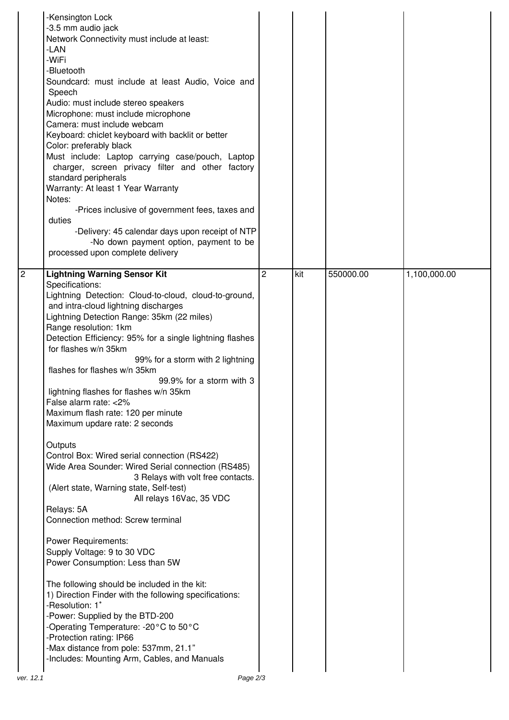| -Kensington Lock<br>-3.5 mm audio jack<br>Network Connectivity must include at least:<br>-LAN<br>-WiFi<br>-Bluetooth<br>Soundcard: must include at least Audio, Voice and<br>Speech<br>Audio: must include stereo speakers<br>Microphone: must include microphone<br>Camera: must include webcam<br>Keyboard: chiclet keyboard with backlit or better<br>Color: preferably black<br>Must include: Laptop carrying case/pouch, Laptop<br>charger, screen privacy filter and other factory<br>standard peripherals<br>Warranty: At least 1 Year Warranty<br>Notes:<br>-Prices inclusive of government fees, taxes and<br>duties<br>-Delivery: 45 calendar days upon receipt of NTP<br>-No down payment option, payment to be<br>processed upon complete delivery                                                                                                                                                                                                                                                                                                                                                                                                                                                                                                                   |                |     |           |              |
|----------------------------------------------------------------------------------------------------------------------------------------------------------------------------------------------------------------------------------------------------------------------------------------------------------------------------------------------------------------------------------------------------------------------------------------------------------------------------------------------------------------------------------------------------------------------------------------------------------------------------------------------------------------------------------------------------------------------------------------------------------------------------------------------------------------------------------------------------------------------------------------------------------------------------------------------------------------------------------------------------------------------------------------------------------------------------------------------------------------------------------------------------------------------------------------------------------------------------------------------------------------------------------|----------------|-----|-----------|--------------|
| 2<br><b>Lightning Warning Sensor Kit</b><br>Specifications:<br>Lightning Detection: Cloud-to-cloud, cloud-to-ground,<br>and intra-cloud lightning discharges<br>Lightning Detection Range: 35km (22 miles)<br>Range resolution: 1km<br>Detection Efficiency: 95% for a single lightning flashes<br>for flashes w/n 35km<br>99% for a storm with 2 lightning<br>flashes for flashes w/n 35km<br>99.9% for a storm with 3<br>lightning flashes for flashes w/n 35km<br>False alarm rate: <2%<br>Maximum flash rate: 120 per minute<br>Maximum updare rate: 2 seconds<br>Outputs<br>Control Box: Wired serial connection (RS422)<br>Wide Area Sounder: Wired Serial connection (RS485)<br>3 Relays with volt free contacts.<br>(Alert state, Warning state, Self-test)<br>All relays 16Vac, 35 VDC<br>Relays: 5A<br>Connection method: Screw terminal<br><b>Power Requirements:</b><br>Supply Voltage: 9 to 30 VDC<br>Power Consumption: Less than 5W<br>The following should be included in the kit:<br>1) Direction Finder with the following specifications:<br>-Resolution: 1°<br>-Power: Supplied by the BTD-200<br>-Operating Temperature: -20°C to 50°C<br>-Protection rating: IP66<br>-Max distance from pole: 537mm, 21.1"<br>-Includes: Mounting Arm, Cables, and Manuals | $\overline{c}$ | kit | 550000.00 | 1,100,000.00 |